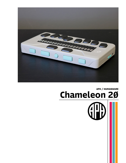

## APH / HUMANWARE Chameleon 20

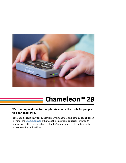

# Chameleon<sup>™</sup> 2Ø

### We don't open doors for people. We create the tools for people to open their own.

Developed specifically for education, with teachers and school-age children in mind; the [Chameleon 20](https://www.aph.org/product/chameleon-20/?utm_source=Conference+Handout&utm_medium=Brochure&utm_campaign=2022_Conferences) enhances the classroom experience through innovation with a fun, positive technology experience that reinforces the joys of reading and writing.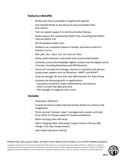#### Features & Benefits

- Braille and menus available in English and Spanish.
- One-Handed Mode so the device is more accessible than ever before.
- Text-to-Speech support to reinforce braille literacy.
- Audio support for unprotected DAISY files, including both DAISY 2.02 and DAISY 2.0.
- 20 refreshable braille cells.
- Students can complete lessons in braille, and send content to teacher in print.
- Edit .pdf, .doc, .docx, .txt, .brf, and .brl files.
- Easily switch between contracted and uncontracted braille.
- Instantly access downloadable digital content and the digital world of books, including Bookshare and NFB Newsline.
- *• Bluetooth®* wireless technology: connect to multiple host devices using screen readers such as VoiceOver, JAWS<sup>®</sup>, and NVDA<sup>®</sup>.
- Internal storage, SD card slot, and USB host port for flash drives.
- Contains the following built-in applications:
	- Calculator to perform basic mathematical calculations.
	- Clock to check the date and time .
	- File manager to organize one's work.

#### **Includes**

- Chameleon 20 device
- A series of nature/insect-themed tactile stickers to enhance the imagination
- Three colored "bumper cases" (pomegranate, purple, and teal) from which to choose, based on student preference
- Nylon carrying case with strap
- USB-C charging cable with power supply (works with any USB charger, but may charge slower)
- User Guide (stored on device)

#### Please visit aph.org to order, to learn more about this product, or to find related products.

Copyright © 2022 American Printing House for the Blind (APH). Bluetooth is a registered trademark of Bluetooth SIG, Inc. Windows is a registered trademark of Microsoft Corporation in the United States and/or other countries. JAWS is registered trademark of Freedom Scientific, Inc. NVDA is a registered trademark of NV Access. *iOS* is a trademark or registered trademark of Cisco in the U.S. and other countries and is used under license.